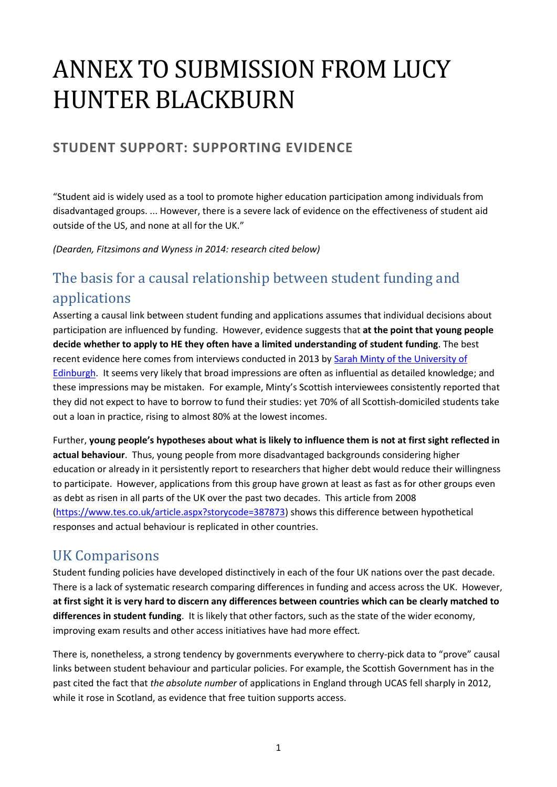# ANNEX TO SUBMISSION FROM LUCY HUNTER BLACKBURN

## **STUDENT SUPPORT: SUPPORTING EVIDENCE**

"Student aid is widely used as a tool to promote higher education participation among individuals from disadvantaged groups. ... However, there is a severe lack of evidence on the effectiveness of student aid outside of the US, and none at all for the UK."

*(Dearden, Fitzsimons and Wyness in 2014: research cited below)*

# The basis for a causal relationship between student funding and applications

Asserting a causal link between student funding and applications assumes that individual decisions about participation are influenced by funding. However, evidence suggests that **at the point that young people decide whether to apply to HE they often have a limited understanding of student funding**. The best recent evidence here comes from interviews conducted in 2013 by [Sarah Minty of the University of](http://www.centreonconstitutionalchange.ac.uk/sites/default/files/papers/34ii_h_ESRCF_WP7.pdf)  [Edinburgh.](http://www.centreonconstitutionalchange.ac.uk/sites/default/files/papers/34ii_h_ESRCF_WP7.pdf) It seems very likely that broad impressions are often as influential as detailed knowledge; and these impressions may be mistaken. For example, Minty's Scottish interviewees consistently reported that they did not expect to have to borrow to fund their studies: yet 70% of all Scottish-domiciled students take out a loan in practice, rising to almost 80% at the lowest incomes.

Further, **young people's hypotheses about what is likely to influence them is not at first sight reflected in actual behaviour**. Thus, young people from more disadvantaged backgrounds considering higher education or already in it persistently report to researchers that higher debt would reduce their willingness to participate. However, applications from this group have grown at least as fast as for other groups even as debt as risen in all parts of the UK over the past two decades. This article from 2008 [\(https://www.tes.co.uk/article.aspx?storycode=387873\)](https://www.tes.co.uk/article.aspx?storycode=387873) shows this difference between hypothetical responses and actual behaviour is replicated in other countries.

### UK Comparisons

Student funding policies have developed distinctively in each of the four UK nations over the past decade. There is a lack of systematic research comparing differences in funding and access across the UK. However, **at first sight it is very hard to discern any differences between countries which can be clearly matched to differences in student funding**. It is likely that other factors, such as the state of the wider economy, improving exam results and other access initiatives have had more effect*.* 

There is, nonetheless, a strong tendency by governments everywhere to cherry-pick data to "prove" causal links between student behaviour and particular policies. For example, the Scottish Government has in the past cited the fact that *the absolute number* of applications in England through UCAS fell sharply in 2012, while it rose in Scotland, as evidence that free tuition supports access.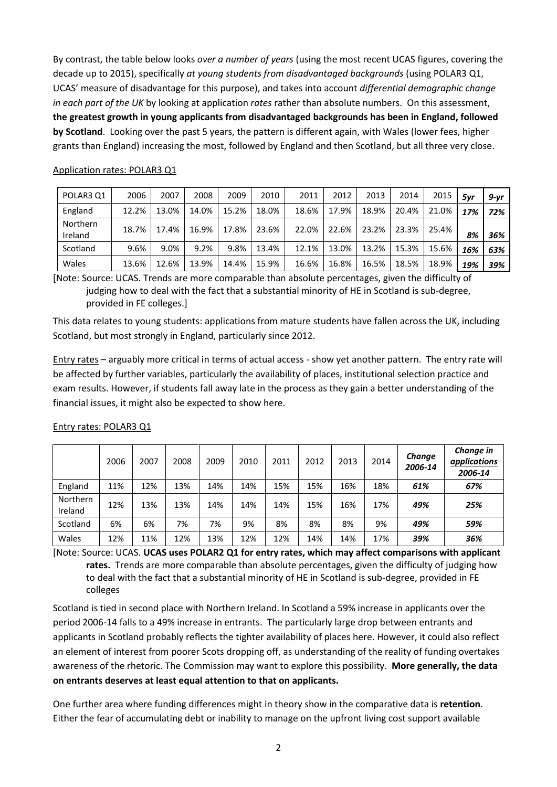By contrast, the table below looks *over a number of years* (using the most recent UCAS figures, covering the decade up to 2015), specifically *at young students from disadvantaged backgrounds* (using POLAR3 Q1, UCAS' measure of disadvantage for this purpose), and takes into account *differential demographic change in each part of the UK* by looking at application *rates* rather than absolute numbers. On this assessment, **the greatest growth in young applicants from disadvantaged backgrounds has been in England, followed by Scotland**. Looking over the past 5 years, the pattern is different again, with Wales (lower fees, higher grants than England) increasing the most, followed by England and then Scotland, but all three very close.

| POLAR3 Q1           | 2006  | 2007  | 2008  | 2009  | 2010  | 2011  | 2012  | 2013  | 2014  | 2015  | 5yr | $9-yr$ |
|---------------------|-------|-------|-------|-------|-------|-------|-------|-------|-------|-------|-----|--------|
| England             | 12.2% | 13.0% | 14.0% | 15.2% | 18.0% | 18.6% | 17.9% | 18.9% | 20.4% | 21.0% | 17% | 72%    |
| Northern<br>Ireland | 18.7% | 17.4% | 16.9% | 17.8% | 23.6% | 22.0% | 22.6% | 23.2% | 23.3% | 25.4% | 8%  | 36%    |
| Scotland            | 9.6%  | 9.0%  | 9.2%  | 9.8%  | 13.4% | 12.1% | 13.0% | 13.2% | 15.3% | 15.6% | 16% | 63%    |
| Wales               | 13.6% | 12.6% | 13.9% | 14.4% | 15.9% | 16.6% | 16.8% | 16.5% | 18.5% | 18.9% | 19% | 39%    |

#### Application rates: POLAR3 Q1

[Note: Source: UCAS. Trends are more comparable than absolute percentages, given the difficulty of judging how to deal with the fact that a substantial minority of HE in Scotland is sub-degree, provided in FE colleges.]

This data relates to young students: applications from mature students have fallen across the UK, including Scotland, but most strongly in England, particularly since 2012.

Entry rates – arguably more critical in terms of actual access - show yet another pattern. The entry rate will be affected by further variables, particularly the availability of places, institutional selection practice and exam results. However, if students fall away late in the process as they gain a better understanding of the financial issues, it might also be expected to show here.

|                     | 2006 | 2007 | 2008 | 2009 | 2010 | 2011 | 2012 | 2013 | 2014 | Change<br>2006-14 | Change in<br>applications<br>2006-14 |
|---------------------|------|------|------|------|------|------|------|------|------|-------------------|--------------------------------------|
| England             | 11%  | 12%  | 13%  | 14%  | 14%  | 15%  | 15%  | 16%  | 18%  | 61%               | 67%                                  |
| Northern<br>Ireland | 12%  | 13%  | 13%  | 14%  | 14%  | 14%  | 15%  | 16%  | 17%  | 49%               | 25%                                  |
| Scotland            | 6%   | 6%   | 7%   | 7%   | 9%   | 8%   | 8%   | 8%   | 9%   | 49%               | 59%                                  |
| Wales               | 12%  | 11%  | 12%  | 13%  | 12%  | 12%  | 14%  | 14%  | 17%  | 39%               | 36%                                  |

#### Entry rates: POLAR3 Q1

[Note: Source: UCAS. **UCAS uses POLAR2 Q1 for entry rates, which may affect comparisons with applicant rates.** Trends are more comparable than absolute percentages, given the difficulty of judging how to deal with the fact that a substantial minority of HE in Scotland is sub-degree, provided in FE colleges

Scotland is tied in second place with Northern Ireland. In Scotland a 59% increase in applicants over the period 2006-14 falls to a 49% increase in entrants. The particularly large drop between entrants and applicants in Scotland probably reflects the tighter availability of places here. However, it could also reflect an element of interest from poorer Scots dropping off, as understanding of the reality of funding overtakes awareness of the rhetoric. The Commission may want to explore this possibility. **More generally, the data on entrants deserves at least equal attention to that on applicants.**

One further area where funding differences might in theory show in the comparative data is **retention**. Either the fear of accumulating debt or inability to manage on the upfront living cost support available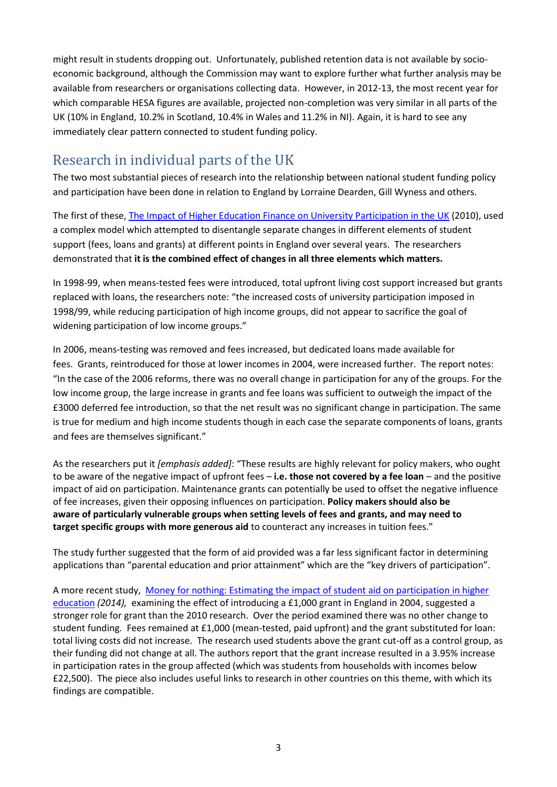might result in students dropping out. Unfortunately, published retention data is not available by socioeconomic background, although the Commission may want to explore further what further analysis may be available from researchers or organisations collecting data. However, in 2012-13, the most recent year for which comparable HESA figures are available, projected non-completion was very similar in all parts of the UK (10% in England, 10.2% in Scotland, 10.4% in Wales and 11.2% in NI). Again, it is hard to see any immediately clear pattern connected to student funding policy.

# Research in individual parts of the UK

The two most substantial pieces of research into the relationship between national student funding policy and participation have been done in relation to England by Lorraine Dearden, Gill Wyness and others.

The first of these[, The Impact of Higher Education Finance on University Participation in the UK](https://www.gov.uk/government/uploads/system/uploads/attachment_data/file/31982/10-1188-impact-finance-on-university-participation.pdf) (2010), used a complex model which attempted to disentangle separate changes in different elements of student support (fees, loans and grants) at different points in England over several years. The researchers demonstrated that **it is the combined effect of changes in all three elements which matters.**

In 1998-99, when means-tested fees were introduced, total upfront living cost support increased but grants replaced with loans, the researchers note: "the increased costs of university participation imposed in 1998/99, while reducing participation of high income groups, did not appear to sacrifice the goal of widening participation of low income groups."

In 2006, means-testing was removed and fees increased, but dedicated loans made available for fees. Grants, reintroduced for those at lower incomes in 2004, were increased further. The report notes: "In the case of the 2006 reforms, there was no overall change in participation for any of the groups. For the low income group, the large increase in grants and fee loans was sufficient to outweigh the impact of the £3000 deferred fee introduction, so that the net result was no significant change in participation. The same is true for medium and high income students though in each case the separate components of loans, grants and fees are themselves significant."

As the researchers put it *[emphasis added]*: "These results are highly relevant for policy makers, who ought to be aware of the negative impact of upfront fees – **i.e. those not covered by a fee loan** – and the positive impact of aid on participation. Maintenance grants can potentially be used to offset the negative influence of fee increases, given their opposing influences on participation. **Policy makers should also be aware of particularly vulnerable groups when setting levels of fees and grants, and may need to target specific groups with more generous aid** to counteract any increases in tuition fees."

The study further suggested that the form of aid provided was a far less significant factor in determining applications than "parental education and prior attainment" which are the "key drivers of participation".

A more recent study, [Money for nothing: Estimating the impact of student aid on participation in higher](http://www.sciencedirect.com/science/article/pii/S0272775714000910)  [education](http://www.sciencedirect.com/science/article/pii/S0272775714000910) *(2014),* examining the effect of introducing a £1,000 grant in England in 2004, suggested a stronger role for grant than the 2010 research. Over the period examined there was no other change to student funding. Fees remained at £1,000 (mean-tested, paid upfront) and the grant substituted for loan: total living costs did not increase. The research used students above the grant cut-off as a control group, as their funding did not change at all. The authors report that the grant increase resulted in a 3.95% increase in participation rates in the group affected (which was students from households with incomes below £22,500). The piece also includes useful links to research in other countries on this theme, with which its findings are compatible.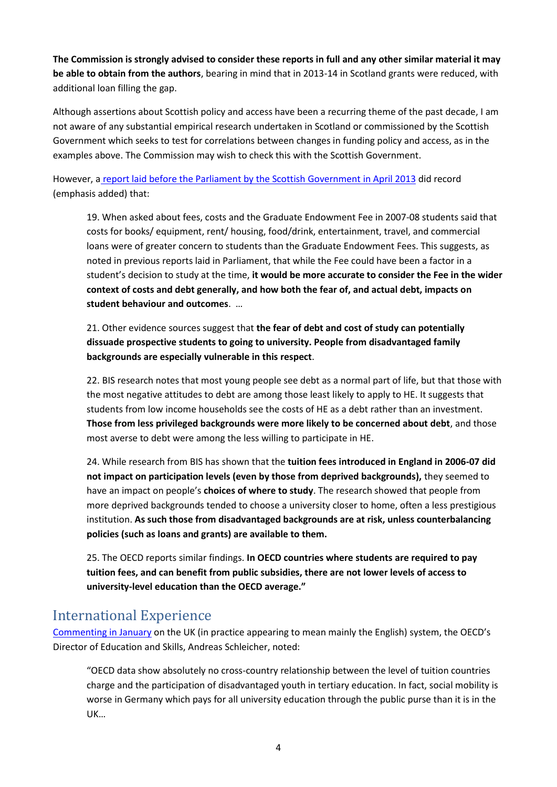**The Commission is strongly advised to consider these reports in full and any other similar material it may be able to obtain from the authors**, bearing in mind that in 2013-14 in Scotland grants were reduced, with additional loan filling the gap.

Although assertions about Scottish policy and access have been a recurring theme of the past decade, I am not aware of any substantial empirical research undertaken in Scotland or commissioned by the Scottish Government which seeks to test for correlations between changes in funding policy and access, as in the examples above. The Commission may wish to check this with the Scottish Government.

However, a [report laid before the Parliament by the Scottish Government in April 2013](https://adventuresinevidence.files.wordpress.com/2013/11/5th-annual-report.pdf) did record (emphasis added) that:

19. When asked about fees, costs and the Graduate Endowment Fee in 2007-08 students said that costs for books/ equipment, rent/ housing, food/drink, entertainment, travel, and commercial loans were of greater concern to students than the Graduate Endowment Fees. This suggests, as noted in previous reports laid in Parliament, that while the Fee could have been a factor in a student's decision to study at the time, **it would be more accurate to consider the Fee in the wider context of costs and debt generally, and how both the fear of, and actual debt, impacts on student behaviour and outcomes**. …

21. Other evidence sources suggest that **the fear of debt and cost of study can potentially dissuade prospective students to going to university. People from disadvantaged family backgrounds are especially vulnerable in this respect**.

22. BIS research notes that most young people see debt as a normal part of life, but that those with the most negative attitudes to debt are among those least likely to apply to HE. It suggests that students from low income households see the costs of HE as a debt rather than an investment. **Those from less privileged backgrounds were more likely to be concerned about debt**, and those most averse to debt were among the less willing to participate in HE.

24. While research from BIS has shown that the **tuition fees introduced in England in 2006-07 did not impact on participation levels (even by those from deprived backgrounds),** they seemed to have an impact on people's **choices of where to study**. The research showed that people from more deprived backgrounds tended to choose a university closer to home, often a less prestigious institution. **As such those from disadvantaged backgrounds are at risk, unless counterbalancing policies (such as loans and grants) are available to them.**

25. The OECD reports similar findings. **In OECD countries where students are required to pay tuition fees, and can benefit from public subsidies, there are not lower levels of access to university-level education than the OECD average."**

## International Experience

[Commenting in January](http://oecdeducationtoday.blogspot.co.uk/2015/01/the-sustainability-of-uks-higher.html?spref=tw) on the UK (in practice appearing to mean mainly the English) system, the OECD's Director of Education and Skills, Andreas Schleicher, noted:

"OECD data show absolutely no cross-country relationship between the level of tuition countries charge and the participation of disadvantaged youth in tertiary education. In fact, social mobility is worse in Germany which pays for all university education through the public purse than it is in the UK…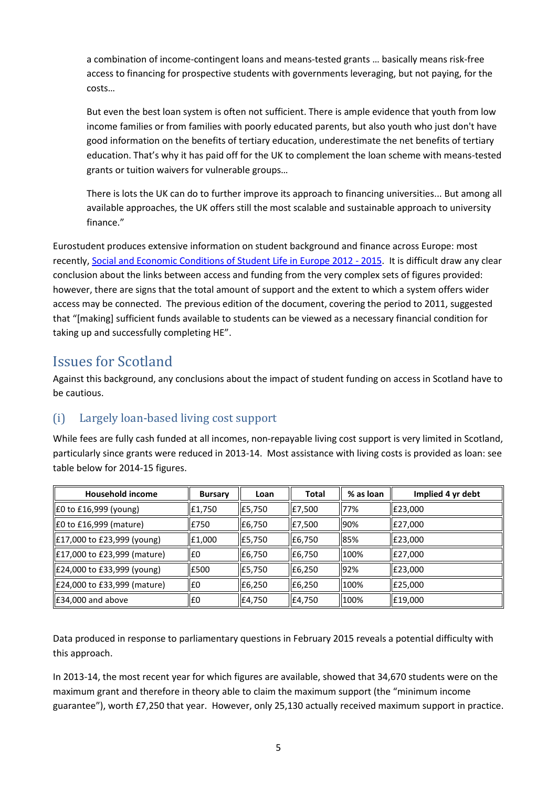a combination of income-contingent loans and means-tested grants … basically means risk-free access to financing for prospective students with governments leveraging, but not paying, for the costs…

But even the best loan system is often not sufficient. There is ample evidence that youth from low income families or from families with poorly educated parents, but also youth who just don't have good information on the benefits of tertiary education, underestimate the net benefits of tertiary education. That's why it has paid off for the UK to complement the loan scheme with means-tested grants or tuition waivers for vulnerable groups…

There is lots the UK can do to further improve its approach to financing universities... But among all available approaches, the UK offers still the most scalable and sustainable approach to university finance."

Eurostudent produces extensive information on student background and finance across Europe: most recently, [Social and Economic Conditions of Student Life in Europe 2012 -](http://www.eurostudent.eu/download_files/documents/EVSynopsisofIndicators.pdf) 2015. It is difficult draw any clear conclusion about the links between access and funding from the very complex sets of figures provided: however, there are signs that the total amount of support and the extent to which a system offers wider access may be connected. The previous edition of the document, covering the period to 2011, suggested that "[making] sufficient funds available to students can be viewed as a necessary financial condition for taking up and successfully completing HE".

## Issues for Scotland

Against this background, any conclusions about the impact of student funding on access in Scotland have to be cautious.

### (i) Largely loan-based living cost support

While fees are fully cash funded at all incomes, non-repayable living cost support is very limited in Scotland, particularly since grants were reduced in 2013-14. Most assistance with living costs is provided as loan: see table below for 2014-15 figures.

| <b>Household income</b>        | <b>Bursary</b> | Loan   | Total  | % as loan | Implied 4 yr debt |  |
|--------------------------------|----------------|--------|--------|-----------|-------------------|--|
| E0 to £16,999 (young)          | £1,750         | E5,750 | E7,500 | 77%       | E23,000           |  |
| $\vert$ £0 to £16,999 (mature) | £750           | £6,750 | E7,500 | 90%       | E27,000           |  |
| E17,000 to £23,999 (young)     | E1,000         | E5,750 | E6,750 | 85%       | E23,000           |  |
| E17,000 to £23,999 (mature)    | E <sub>0</sub> | £6,750 | E6,750 | 100%      | E27,000           |  |
| E24,000 to £33,999 (young)     | E500           | £5,750 | £6,250 | 92%       | E23,000           |  |
| E24,000 to £33,999 (mature)    | £0             | £6,250 | E6,250 | 100%      | E25,000           |  |
| E34,000 and above              | I£0            | £4,750 | £4,750 | 100%      | E19,000           |  |

Data produced in response to parliamentary questions in February 2015 reveals a potential difficulty with this approach.

In 2013-14, the most recent year for which figures are available, showed that 34,670 students were on the maximum grant and therefore in theory able to claim the maximum support (the "minimum income guarantee"), worth £7,250 that year. However, only 25,130 actually received maximum support in practice.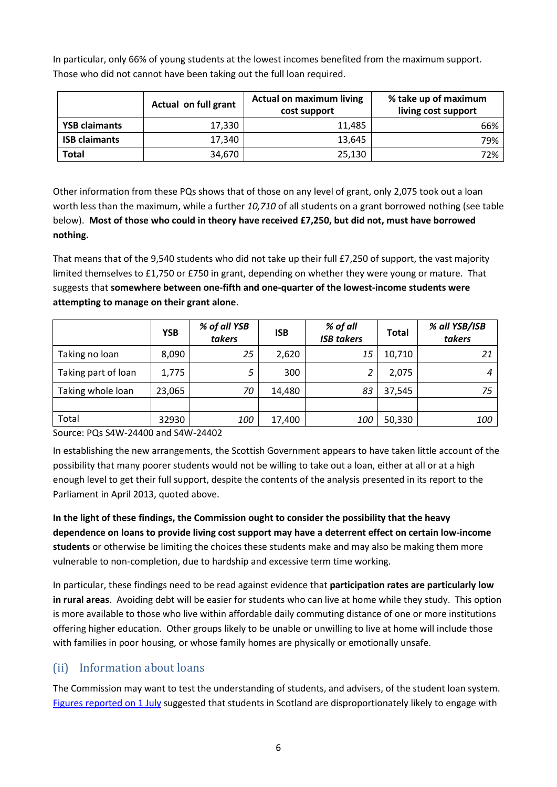In particular, only 66% of young students at the lowest incomes benefited from the maximum support. Those who did not cannot have been taking out the full loan required.

|                      | Actual on full grant | <b>Actual on maximum living</b><br>cost support | % take up of maximum<br>living cost support |  |
|----------------------|----------------------|-------------------------------------------------|---------------------------------------------|--|
| <b>YSB claimants</b> | 17,330               | 11,485                                          | 66%                                         |  |
| <b>ISB claimants</b> | 17,340               | 13,645                                          | 79%                                         |  |
| <b>Total</b>         | 34,670               | 25,130                                          | 72%                                         |  |

Other information from these PQs shows that of those on any level of grant, only 2,075 took out a loan worth less than the maximum, while a further *10,710* of all students on a grant borrowed nothing (see table below). **Most of those who could in theory have received £7,250, but did not, must have borrowed nothing.** 

That means that of the 9,540 students who did not take up their full £7,250 of support, the vast majority limited themselves to £1,750 or £750 in grant, depending on whether they were young or mature. That suggests that **somewhere between one-fifth and one-quarter of the lowest-income students were attempting to manage on their grant alone**.

|                     | <b>YSB</b> | % of all YSB<br>takers | <b>ISB</b> | % of all<br><b>ISB takers</b> | Total  | % all YSB/ISB<br>takers |
|---------------------|------------|------------------------|------------|-------------------------------|--------|-------------------------|
| Taking no loan      | 8,090      | 25                     | 2,620      | 15                            | 10,710 | 21                      |
| Taking part of loan | 1,775      |                        | 300        | っ                             | 2,075  |                         |
| Taking whole loan   | 23,065     | 70                     | 14,480     | 83                            | 37,545 | 75                      |
|                     |            |                        |            |                               |        |                         |
| Total               | 32930      | 100                    | 17,400     | <i>100</i>                    | 50,330 | 100                     |

Source: PQs S4W-24400 and S4W-24402

In establishing the new arrangements, the Scottish Government appears to have taken little account of the possibility that many poorer students would not be willing to take out a loan, either at all or at a high enough level to get their full support, despite the contents of the analysis presented in its report to the Parliament in April 2013, quoted above.

**In the light of these findings, the Commission ought to consider the possibility that the heavy dependence on loans to provide living cost support may have a deterrent effect on certain low-income students** or otherwise be limiting the choices these students make and may also be making them more vulnerable to non-completion, due to hardship and excessive term time working.

In particular, these findings need to be read against evidence that **participation rates are particularly low in rural areas**. Avoiding debt will be easier for students who can live at home while they study. This option is more available to those who live within affordable daily commuting distance of one or more institutions offering higher education. Other groups likely to be unable or unwilling to live at home will include those with families in poor housing, or whose family homes are physically or emotionally unsafe.

#### (ii) Information about loans

The Commission may want to test the understanding of students, and advisers, of the student loan system. [Figures reported on 1 July](http://news.stv.tv/scotland-decides/news/1323848-more-than-6000-students-using-payday-loans-to-make-ends-meet/) suggested that students in Scotland are disproportionately likely to engage with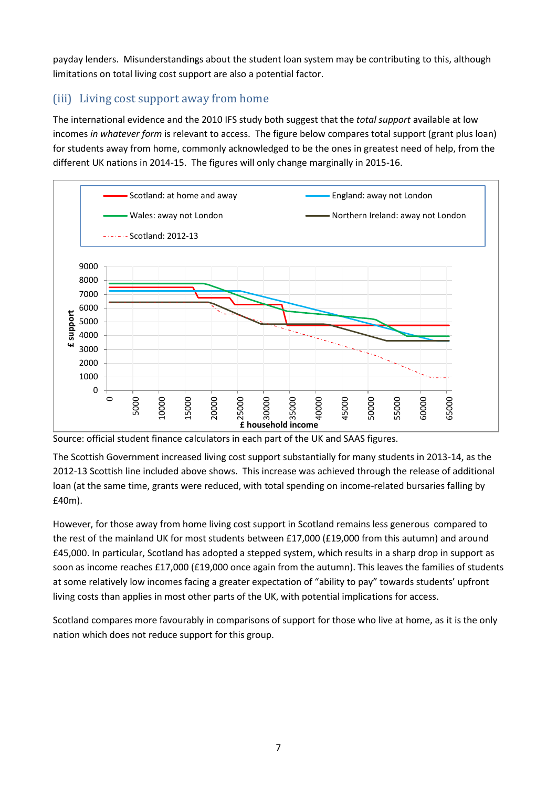payday lenders. Misunderstandings about the student loan system may be contributing to this, although limitations on total living cost support are also a potential factor.

#### (iii) Living cost support away from home

The international evidence and the 2010 IFS study both suggest that the *total support* available at low incomes *in whatever form* is relevant to access. The figure below compares total support (grant plus loan) for students away from home, commonly acknowledged to be the ones in greatest need of help, from the different UK nations in 2014-15. The figures will only change marginally in 2015-16.



Source: official student finance calculators in each part of the UK and SAAS figures.

The Scottish Government increased living cost support substantially for many students in 2013-14, as the 2012-13 Scottish line included above shows. This increase was achieved through the release of additional loan (at the same time, grants were reduced, with total spending on income-related bursaries falling by £40m).

However, for those away from home living cost support in Scotland remains less generous compared to the rest of the mainland UK for most students between £17,000 (£19,000 from this autumn) and around £45,000. In particular, Scotland has adopted a stepped system, which results in a sharp drop in support as soon as income reaches £17,000 (£19,000 once again from the autumn). This leaves the families of students at some relatively low incomes facing a greater expectation of "ability to pay" towards students' upfront living costs than applies in most other parts of the UK, with potential implications for access.

Scotland compares more favourably in comparisons of support for those who live at home, as it is the only nation which does not reduce support for this group.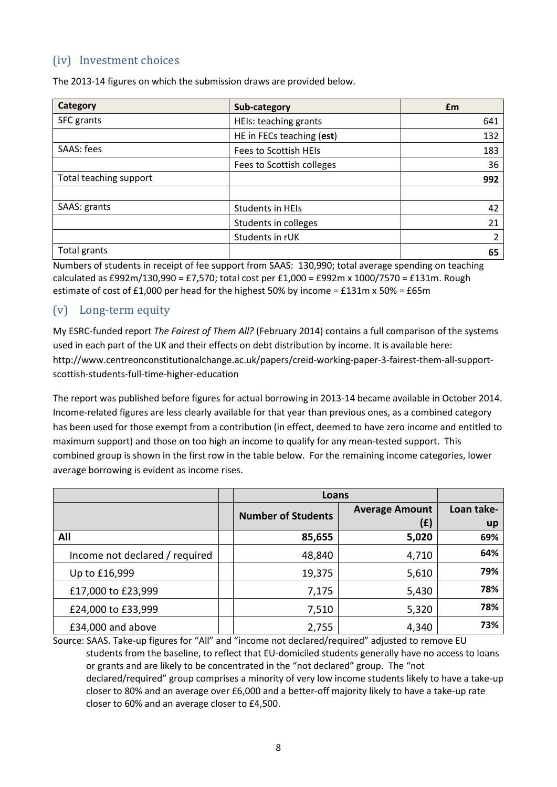#### (iv) Investment choices

| <b>Category</b>        | Sub-category              | £m  |
|------------------------|---------------------------|-----|
| SFC grants             | HEIs: teaching grants     | 641 |
|                        | HE in FECs teaching (est) | 132 |
| SAAS: fees             | Fees to Scottish HEIs     | 183 |
|                        | Fees to Scottish colleges | 36  |
| Total teaching support |                           | 992 |
|                        |                           |     |
| SAAS: grants           | Students in HEIs          | 42  |
|                        | Students in colleges      | 21  |
|                        | Students in rUK           | 2   |
| Total grants           |                           | 65  |

The 2013-14 figures on which the submission draws are provided below.

Numbers of students in receipt of fee support from SAAS: 130,990; total average spending on teaching calculated as £992m/130,990 = £7,570; total cost per £1,000 = £992m x 1000/7570 = £131m. Rough estimate of cost of £1,000 per head for the highest 50% by income = £131m x 50% = £65m

#### (v) Long-term equity

My ESRC-funded report *The Fairest of Them All?* (February 2014) contains a full comparison of the systems used in each part of the UK and their effects on debt distribution by income. It is available here: http://www.centreonconstitutionalchange.ac.uk/papers/creid-working-paper-3-fairest-them-all-supportscottish-students-full-time-higher-education

The report was published before figures for actual borrowing in 2013-14 became available in October 2014. Income-related figures are less clearly available for that year than previous ones, as a combined category has been used for those exempt from a contribution (in effect, deemed to have zero income and entitled to maximum support) and those on too high an income to qualify for any mean-tested support. This combined group is shown in the first row in the table below. For the remaining income categories, lower average borrowing is evident as income rises.

|                                | Loans                     |                              |                  |
|--------------------------------|---------------------------|------------------------------|------------------|
|                                | <b>Number of Students</b> | <b>Average Amount</b><br>(£) | Loan take-<br>up |
| All                            | 85,655                    | 5,020                        | 69%              |
| Income not declared / required | 48,840                    | 4,710                        | 64%              |
| Up to £16,999                  | 19,375                    | 5,610                        | 79%              |
| £17,000 to £23,999             | 7,175                     | 5,430                        | 78%              |
| £24,000 to £33,999             | 7,510                     | 5,320                        | 78%              |
| £34,000 and above              | 2,755                     | 4,340                        | 73%              |

Source: SAAS. Take-up figures for "All" and "income not declared/required" adjusted to remove EU students from the baseline, to reflect that EU-domiciled students generally have no access to loans or grants and are likely to be concentrated in the "not declared" group. The "not declared/required" group comprises a minority of very low income students likely to have a take-up closer to 80% and an average over £6,000 and a better-off majority likely to have a take-up rate closer to 60% and an average closer to £4,500.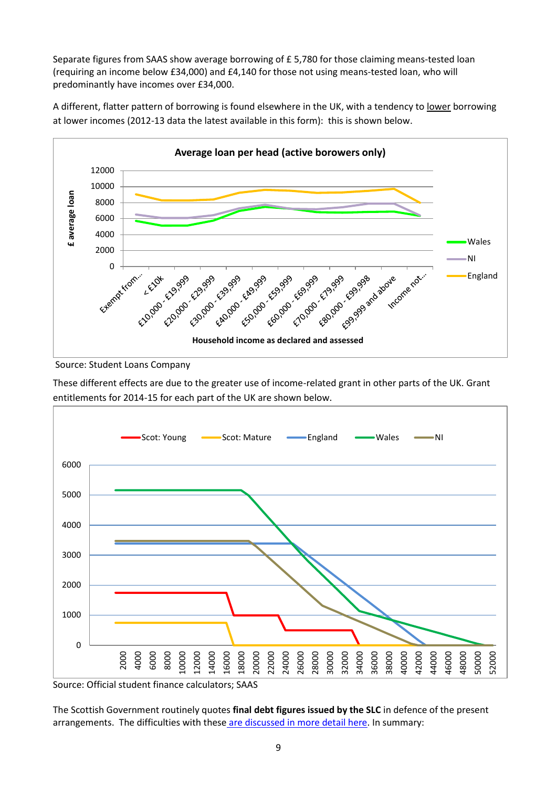Separate figures from SAAS show average borrowing of £ 5,780 for those claiming means-tested loan (requiring an income below £34,000) and £4,140 for those not using means-tested loan, who will predominantly have incomes over £34,000.

A different, flatter pattern of borrowing is found elsewhere in the UK, with a tendency to lower borrowing at lower incomes (2012-13 data the latest available in this form): this is shown below.



Source: Student Loans Company

These different effects are due to the greater use of income-related grant in other parts of the UK. Grant entitlements for 2014-15 for each part of the UK are shown below.



Source: Official student finance calculators; SAAS

The Scottish Government routinely quotes **final debt figures issued by the SLC** in defence of the present arrangements. The difficulties with these [are discussed in more detail here.](http://adventuresinevidence.com/2014/06/25/when-does-7600-mean-18500-or-more-the-problem-with-final-debt-figures/) In summary: